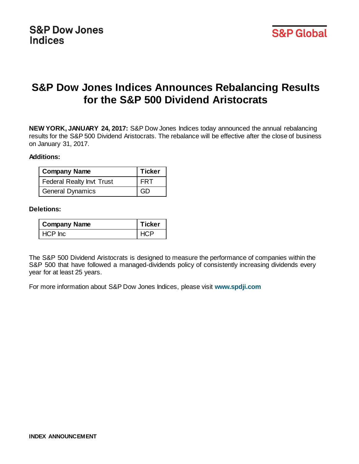# **S&P Dow Jones Indices Announces Rebalancing Results for the S&P 500 Dividend Aristocrats**

**NEW YORK, JANUARY 24, 2017:** S&P Dow Jones Indices today announced the annual rebalancing results for the S&P 500 Dividend Aristocrats. The rebalance will be effective after the close of business on January 31, 2017.

### **Additions:**

| <b>Company Name</b>              | <b>Ticker</b> |
|----------------------------------|---------------|
| <b>Federal Realty Invt Trust</b> | <b>FRT</b>    |
| <b>General Dynamics</b>          | GD            |

#### **Deletions:**

| <b>Company Name</b> | <b>Ticker</b> |
|---------------------|---------------|
| HCP Inc             | <b>HCP</b>    |

The S&P 500 Dividend Aristocrats is designed to measure the performance of companies within the S&P 500 that have followed a managed-dividends policy of consistently increasing dividends every year for at least 25 years.

For more information about S&P Dow Jones Indices, please visit **www.spdji.com**